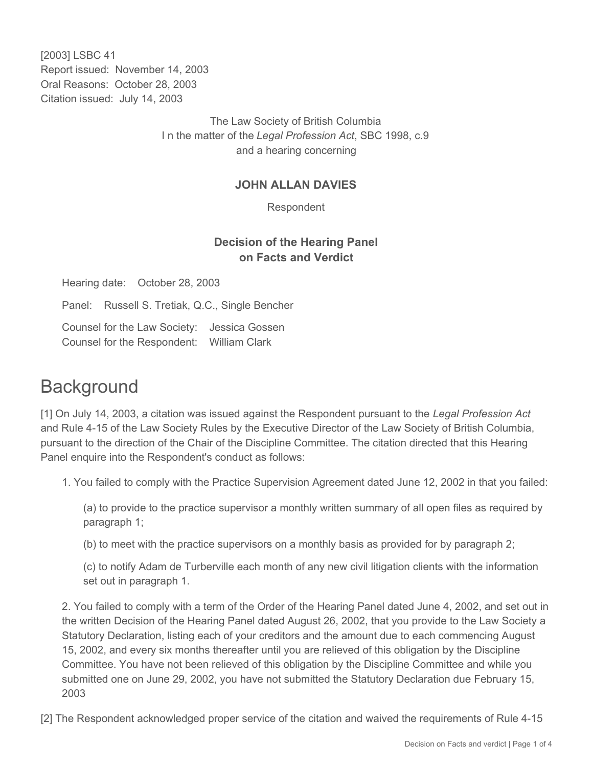[2003] LSBC 41 Report issued: November 14, 2003 Oral Reasons: October 28, 2003 Citation issued: July 14, 2003

> The Law Society of British Columbia I n the matter of the *Legal Profession Act*, SBC 1998, c.9 and a hearing concerning

#### **JOHN ALLAN DAVIES**

Respondent

## **Decision of the Hearing Panel on Facts and Verdict**

Hearing date: October 28, 2003

Panel: Russell S. Tretiak, Q.C., Single Bencher

Counsel for the Law Society: Jessica Gossen Counsel for the Respondent: William Clark

# **Background**

[1] On July 14, 2003, a citation was issued against the Respondent pursuant to the *Legal Profession Act* and Rule 4-15 of the Law Society Rules by the Executive Director of the Law Society of British Columbia, pursuant to the direction of the Chair of the Discipline Committee. The citation directed that this Hearing Panel enquire into the Respondent's conduct as follows:

1. You failed to comply with the Practice Supervision Agreement dated June 12, 2002 in that you failed:

(a) to provide to the practice supervisor a monthly written summary of all open files as required by paragraph 1;

(b) to meet with the practice supervisors on a monthly basis as provided for by paragraph 2;

(c) to notify Adam de Turberville each month of any new civil litigation clients with the information set out in paragraph 1.

2. You failed to comply with a term of the Order of the Hearing Panel dated June 4, 2002, and set out in the written Decision of the Hearing Panel dated August 26, 2002, that you provide to the Law Society a Statutory Declaration, listing each of your creditors and the amount due to each commencing August 15, 2002, and every six months thereafter until you are relieved of this obligation by the Discipline Committee. You have not been relieved of this obligation by the Discipline Committee and while you submitted one on June 29, 2002, you have not submitted the Statutory Declaration due February 15, 2003

[2] The Respondent acknowledged proper service of the citation and waived the requirements of Rule 4-15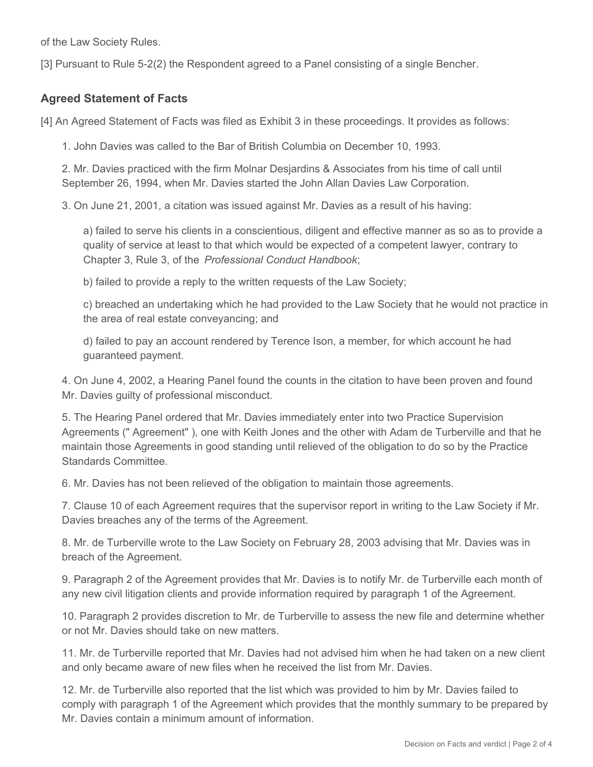of the Law Society Rules.

[3] Pursuant to Rule 5-2(2) the Respondent agreed to a Panel consisting of a single Bencher.

### **Agreed Statement of Facts**

[4] An Agreed Statement of Facts was filed as Exhibit 3 in these proceedings. It provides as follows:

1. John Davies was called to the Bar of British Columbia on December 10, 1993.

2. Mr. Davies practiced with the firm Molnar Desjardins & Associates from his time of call until September 26, 1994, when Mr. Davies started the John Allan Davies Law Corporation.

3. On June 21, 2001, a citation was issued against Mr. Davies as a result of his having:

a) failed to serve his clients in a conscientious, diligent and effective manner as so as to provide a quality of service at least to that which would be expected of a competent lawyer, contrary to Chapter 3, Rule 3, of the *Professional Conduct Handbook*;

b) failed to provide a reply to the written requests of the Law Society;

c) breached an undertaking which he had provided to the Law Society that he would not practice in the area of real estate conveyancing; and

d) failed to pay an account rendered by Terence Ison, a member, for which account he had guaranteed payment.

4. On June 4, 2002, a Hearing Panel found the counts in the citation to have been proven and found Mr. Davies guilty of professional misconduct.

5. The Hearing Panel ordered that Mr. Davies immediately enter into two Practice Supervision Agreements (" Agreement" ), one with Keith Jones and the other with Adam de Turberville and that he maintain those Agreements in good standing until relieved of the obligation to do so by the Practice Standards Committee.

6. Mr. Davies has not been relieved of the obligation to maintain those agreements.

7. Clause 10 of each Agreement requires that the supervisor report in writing to the Law Society if Mr. Davies breaches any of the terms of the Agreement.

8. Mr. de Turberville wrote to the Law Society on February 28, 2003 advising that Mr. Davies was in breach of the Agreement.

9. Paragraph 2 of the Agreement provides that Mr. Davies is to notify Mr. de Turberville each month of any new civil litigation clients and provide information required by paragraph 1 of the Agreement.

10. Paragraph 2 provides discretion to Mr. de Turberville to assess the new file and determine whether or not Mr. Davies should take on new matters.

11. Mr. de Turberville reported that Mr. Davies had not advised him when he had taken on a new client and only became aware of new files when he received the list from Mr. Davies.

12. Mr. de Turberville also reported that the list which was provided to him by Mr. Davies failed to comply with paragraph 1 of the Agreement which provides that the monthly summary to be prepared by Mr. Davies contain a minimum amount of information.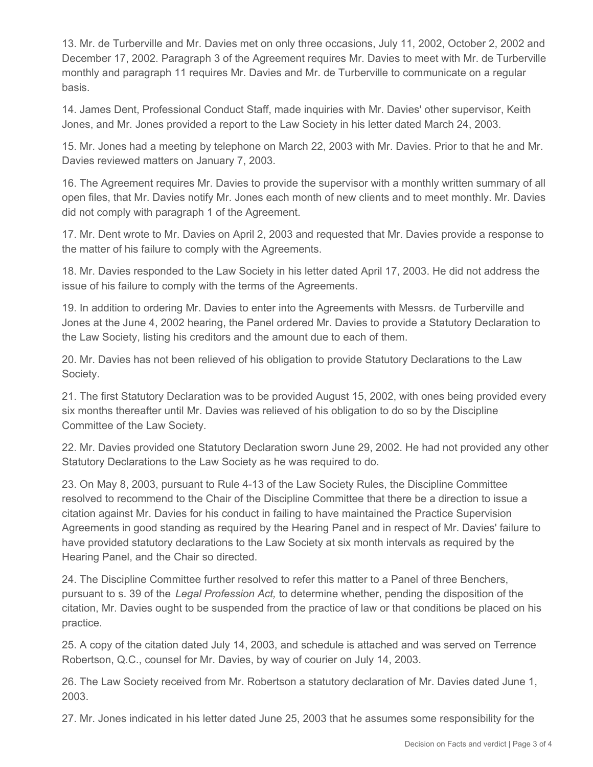13. Mr. de Turberville and Mr. Davies met on only three occasions, July 11, 2002, October 2, 2002 and December 17, 2002. Paragraph 3 of the Agreement requires Mr. Davies to meet with Mr. de Turberville monthly and paragraph 11 requires Mr. Davies and Mr. de Turberville to communicate on a regular basis.

14. James Dent, Professional Conduct Staff, made inquiries with Mr. Davies' other supervisor, Keith Jones, and Mr. Jones provided a report to the Law Society in his letter dated March 24, 2003.

15. Mr. Jones had a meeting by telephone on March 22, 2003 with Mr. Davies. Prior to that he and Mr. Davies reviewed matters on January 7, 2003.

16. The Agreement requires Mr. Davies to provide the supervisor with a monthly written summary of all open files, that Mr. Davies notify Mr. Jones each month of new clients and to meet monthly. Mr. Davies did not comply with paragraph 1 of the Agreement.

17. Mr. Dent wrote to Mr. Davies on April 2, 2003 and requested that Mr. Davies provide a response to the matter of his failure to comply with the Agreements.

18. Mr. Davies responded to the Law Society in his letter dated April 17, 2003. He did not address the issue of his failure to comply with the terms of the Agreements.

19. In addition to ordering Mr. Davies to enter into the Agreements with Messrs. de Turberville and Jones at the June 4, 2002 hearing, the Panel ordered Mr. Davies to provide a Statutory Declaration to the Law Society, listing his creditors and the amount due to each of them.

20. Mr. Davies has not been relieved of his obligation to provide Statutory Declarations to the Law Society.

21. The first Statutory Declaration was to be provided August 15, 2002, with ones being provided every six months thereafter until Mr. Davies was relieved of his obligation to do so by the Discipline Committee of the Law Society.

22. Mr. Davies provided one Statutory Declaration sworn June 29, 2002. He had not provided any other Statutory Declarations to the Law Society as he was required to do.

23. On May 8, 2003, pursuant to Rule 4-13 of the Law Society Rules, the Discipline Committee resolved to recommend to the Chair of the Discipline Committee that there be a direction to issue a citation against Mr. Davies for his conduct in failing to have maintained the Practice Supervision Agreements in good standing as required by the Hearing Panel and in respect of Mr. Davies' failure to have provided statutory declarations to the Law Society at six month intervals as required by the Hearing Panel, and the Chair so directed.

24. The Discipline Committee further resolved to refer this matter to a Panel of three Benchers, pursuant to s. 39 of the *Legal Profession Act,* to determine whether, pending the disposition of the citation, Mr. Davies ought to be suspended from the practice of law or that conditions be placed on his practice.

25. A copy of the citation dated July 14, 2003, and schedule is attached and was served on Terrence Robertson, Q.C., counsel for Mr. Davies, by way of courier on July 14, 2003.

26. The Law Society received from Mr. Robertson a statutory declaration of Mr. Davies dated June 1, 2003.

27. Mr. Jones indicated in his letter dated June 25, 2003 that he assumes some responsibility for the